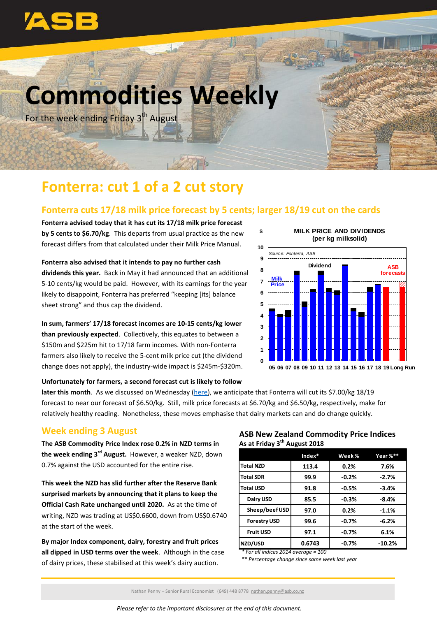

# **Commodities Weekly**

For the week ending Friday 3<sup>th</sup> August

## **Fonterra: cut 1 of a 2 cut story**

### **Fonterra cuts 17/18 milk price forecast by 5 cents; larger 18/19 cut on the cards**

**\$** 

**Fonterra advised today that it has cut its 17/18 milk price forecast by 5 cents to \$6.70/kg**. This departs from usual practice as the new forecast differs from that calculated under their Milk Price Manual.

**Fonterra also advised that it intends to pay no further cash dividends this year.** Back in May it had announced that an additional 5-10 cents/kg would be paid. However, with its earnings for the year likely to disappoint, Fonterra has preferred "keeping [its] balance sheet strong" and thus cap the dividend.

**In sum, farmers' 17/18 forecast incomes are 10-15 cents/kg lower than previously expected**. Collectively, this equates to between a \$150m and \$225m hit to 17/18 farm incomes. With non-Fonterra farmers also likely to receive the 5-cent milk price cut (the dividend change does not apply), the industry-wide impact is \$245m-\$320m.

#### **MILK PRICE AND DIVIDENDS (per kg milksolid)**



#### **Unfortunately for farmers, a second forecast cut is likely to follow**

**later this month**. As we discussed on Wednesday [\(here\)](https://www.asb.co.nz/documents/economic-research/rural-economic-note/new-lower-stake-in-the-ground.html), we anticipate that Fonterra will cut its \$7.00/kg 18/19 forecast to near our forecast of \$6.50/kg. Still, milk price forecasts at \$6.70/kg and \$6.50/kg, respectively, make for relatively healthy reading. Nonetheless, these moves emphasise that dairy markets can and do change quickly.

### **Week ending 3 August**

**The ASB Commodity Price Index rose 0.2% in NZD terms in the week ending 3 rd August.** However, a weaker NZD, down 0.7% against the USD accounted for the entire rise.

**This week the NZD has slid further after the Reserve Bank surprised markets by announcing that it plans to keep the Official Cash Rate unchanged until 2020.** As at the time of writing, NZD was trading at US\$0.6600, down from US\$0.6740 at the start of the week.

**By major Index component, dairy, forestry and fruit prices all dipped in USD terms over the week**. Although in the case of dairy prices, these stabilised at this week's dairy auction.

#### **ASB New Zealand Commodity Price Indices As at Friday 3 th August 2018**

|                     | $Index*$ | Week %  | Year %** |
|---------------------|----------|---------|----------|
| <b>Total NZD</b>    | 113.4    | 0.2%    | 7.6%     |
| <b>Total SDR</b>    | 99.9     | $-0.2%$ | $-2.7%$  |
| <b>Total USD</b>    | 91.8     | $-0.5%$ | $-3.4%$  |
| Dairy USD           | 85.5     | $-0.3%$ | $-8.4%$  |
| Sheep/beef USD      | 97.0     | 0.2%    | $-1.1%$  |
| <b>Forestry USD</b> | 99.6     | $-0.7%$ | $-6.2%$  |
| <b>Fruit USD</b>    | 97.1     | $-0.7%$ | 6.1%     |
| NZD/USD             | 0.6743   | $-0.7%$ | $-10.2%$ |

*\* For all indices 2014 average = 100*

*\*\* Percentage change since same week last year*